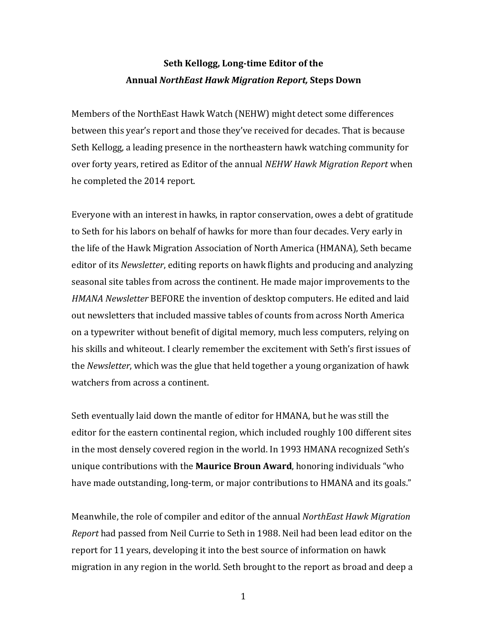## **Seth Kellogg, Long-time Editor of the Annual** *NorthEast Hawk Migration Report,* **Steps Down**

Members of the NorthEast Hawk Watch (NEHW) might detect some differences between this year's report and those they've received for decades. That is because Seth Kellogg, a leading presence in the northeastern hawk watching community for over forty years, retired as Editor of the annual *NEHW Hawk Migration Report* when he completed the 2014 report.

Everyone with an interest in hawks, in raptor conservation, owes a debt of gratitude to Seth for his labors on behalf of hawks for more than four decades. Very early in the life of the Hawk Migration Association of North America (HMANA), Seth became editor of its *Newsletter*, editing reports on hawk flights and producing and analyzing seasonal site tables from across the continent. He made major improvements to the *HMANA Newsletter* BEFORE the invention of desktop computers. He edited and laid out newsletters that included massive tables of counts from across North America on a typewriter without benefit of digital memory, much less computers, relying on his skills and whiteout. I clearly remember the excitement with Seth's first issues of the *Newsletter*, which was the glue that held together a young organization of hawk watchers from across a continent.

Seth eventually laid down the mantle of editor for HMANA, but he was still the editor for the eastern continental region, which included roughly 100 different sites in the most densely covered region in the world. In 1993 HMANA recognized Seth's unique contributions with the **Maurice Broun Award**, honoring individuals "who have made outstanding, long-term, or major contributions to HMANA and its goals."

Meanwhile, the role of compiler and editor of the annual *NorthEast Hawk Migration Report* had passed from Neil Currie to Seth in 1988. Neil had been lead editor on the report for 11 years, developing it into the best source of information on hawk migration in any region in the world. Seth brought to the report as broad and deep a

1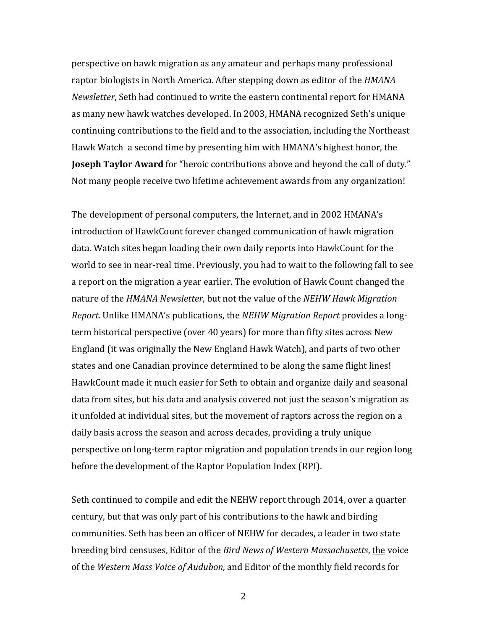perspective on hawk migration as any amateur and perhaps many professional raptor biologists in North America. After stepping down as editor of the *HMANA Newsletter*, Seth had continued to write the eastern continental report for HMANA as many new hawk watches developed. In 2003, HMANA recognized Seth's unique continuing contributions to the field and to the association, including the Northeast Hawk Watch a second time by presenting him with HMANA's highest honor, the **Joseph Taylor Award** for "heroic contributions above and beyond the call of duty." Not many people receive two lifetime achievement awards from any organization!

The development of personal computers, the Internet, and in 2002 HMANA's introduction of HawkCount forever changed communication of hawk migration data. Watch sites began loading their own daily reports into HawkCount for the world to see in near-real time. Previously, you had to wait to the following fall to see a report on the migration a year earlier. The evolution of Hawk Count changed the nature of the *HMANA Newsletter*, but not the value of the *NEHW Hawk Migration Report*. Unlike HMANA's publications, the *NEHW Migration Report* provides a longterm historical perspective (over 40 years) for more than fifty sites across New England (it was originally the New England Hawk Watch), and parts of two other states and one Canadian province determined to be along the same flight lines! HawkCount made it much easier for Seth to obtain and organize daily and seasonal data from sites, but his data and analysis covered not just the season's migration as it unfolded at individual sites, but the movement of raptors across the region on a daily basis across the season and across decades, providing a truly unique perspective on long-term raptor migration and population trends in our region long before the development of the Raptor Population Index (RPI).

Seth continued to compile and edit the NEHW report through 2014, over a quarter century, but that was only part of his contributions to the hawk and birding communities. Seth has been an officer of NEHW for decades, a leader in two state breeding bird censuses, Editor of the *Bird News of Western Massachusetts*, the voice of the Western Mass Voice of Audubon, and Editor of the monthly field records for

2